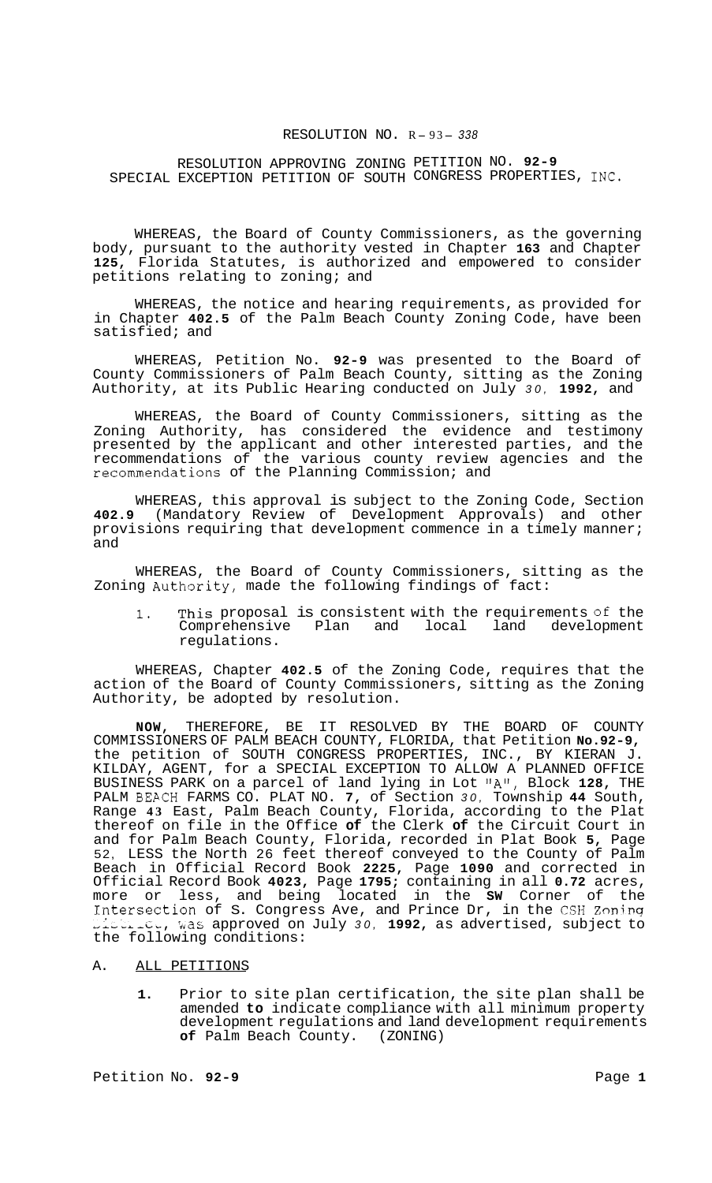#### RESOLUTION NO. R-93-338

RESOLUTION APPROVING ZONING PETITION NO. **92-9**  SPECIAL EXCEPTION PETITION OF SOUTH CONGRESS PROPERTIES, INC.

WHEREAS, the Board of County Commissioners, as the governing body, pursuant to the authority vested in Chapter **163** and Chapter **125,** Florida Statutes, is authorized and empowered to consider petitions relating to zoning; and

WHEREAS, the notice and hearing requirements, as provided for in Chapter **402.5** of the Palm Beach County Zoning Code, have been satisfied; and

WHEREAS, Petition No. **92-9** was presented to the Board of County Commissioners of Palm Beach County, sitting as the Zoning Authority, at its Public Hearing conducted on July *30,* **1992,** and

WHEREAS, the Board of County Commissioners, sitting as the Zoning Authority, has considered the evidence and testimony presented by the applicant and other interested parties, and the recommendations of the various county review agencies and the recommendations of the Planning Commission; and

WHEREAS, this approval is subject to the Zoning Code, Section **402.9** (Mandatory Review of Development Approvals) and other provisions requiring that development commence in a timely manner; and

WHEREAS, the Board of County Commissioners, sitting as the Zoning Authority, made the following findings of fact:

1. This proposal is consistent with the requirements of the<br>Comprehensive Plan and local land development Comprehensive Plan and local regulations.

WHEREAS, Chapter **402.5** of the Zoning Code, requires that the action of the Board of County Commissioners, sitting as the Zoning Authority, be adopted by resolution.

**NOW,** THEREFORE, BE IT RESOLVED BY THE BOARD OF COUNTY COMMISSIONERS OF PALM BEACH COUNTY, FLORIDA, that Petition **No.92-9,**  the petition of SOUTH CONGRESS PROPERTIES, INC., BY KIERAN J. KILDAY, AGENT, for a SPECIAL EXCEPTION TO ALLOW A PLANNED OFFICE BUSINESS PARK on a parcel of land lying in Lot "A", Block **128,** THE PALM BEACH FARMS CO. PLAT NO. **7,** of Section *30,* Township **44** South, Range **43** East, Palm Beach County, Florida, according to the Plat thereof on file in the Office **of** the Clerk **of** the Circuit Court in and for Palm Beach County, Florida, recorded in Plat Book **5,** Page 52, LESS the North 26 feet thereof conveyed to the County of Palm Beach in Official Record Book **2225,** Page **1090** and corrected in Official Record Book **4023,** Page **1795;** containing in all **0.72** acres, more or less, and being located in the **SW** Corner of the Intersection of S. Congress Ave, and Prince Dr, in the CSH Zoning ,i--,-i;,, has approved on July *30,* **1992,** as advertised, subject to the following conditions:

#### A. ALL PETITIONS

**1.** Prior to site plan certification, the site plan shall be amended **to** indicate compliance with all minimum property development regulations and land development requirements **of** Palm Beach County. (ZONING)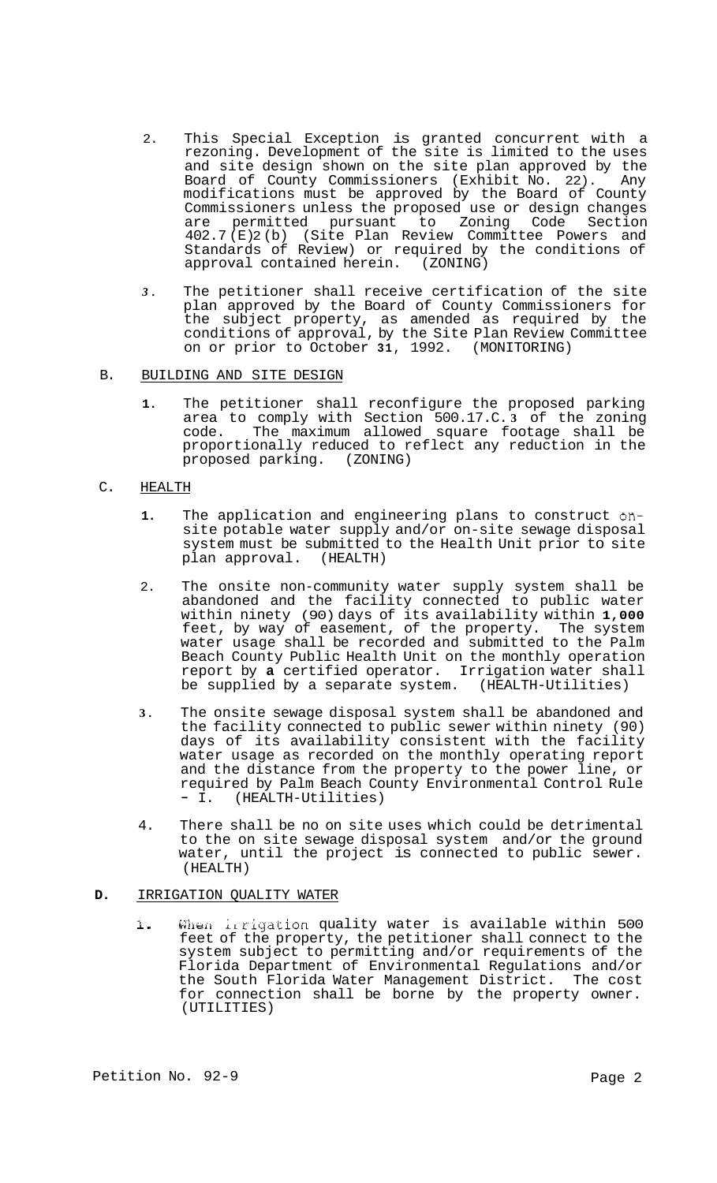- 2. This Special Exception is granted concurrent with a rezoning. Development of the site is limited to the uses and site design shown on the site plan approved by the Board of County Commissioners (Exhibit No. 22). Any modifications must be approved by the Board of County Commissioners unless the proposed use or design changes<br>are permitted pursuant to Zoning Code Section permitted pursuant to Zoning Code Section 402.7 (E) 2 (b) (Site Plan Review Committee Powers and Standards of Review) or required by the conditions of approval contained herein. (ZONING) approval contained herein.
- *3.* The petitioner shall receive certification of the site plan approved by the Board of County Commissioners for the subject property, as amended as required by the conditions of approval, by the Site Plan Review Committee on or prior to October **31,** 1992. (MONITORING)

# B. BUILDING AND SITE DESIGN

**1.** The petitioner shall reconfigure the proposed parking area to comply with Section 500.17.C. **3** of the zoning code. The maximum allowed square footage shall be proportionally reduced to reflect any reduction in the proposed parking. (ZONING)

# C. HEALTH

- **1.** The application and engineering plans to construct onsite potable water supply and/or on-site sewage disposal system must be submitted to the Health Unit prior to site<br>plan approval. (HEALTH) plan approval.
- 2. The onsite non-community water supply system shall be abandoned and the facility connected to public water within ninety (90) days of its availability within **1,000**  feet, by way of easement, of the property. The system water usage shall be recorded and submitted to the Palm Beach County Public Health Unit on the monthly operation report by **a** certified operator. Irrigation water shall<br>be supplied by a separate system. (HEALTH-Utilities) be supplied by a separate system.
- **3.** The onsite sewage disposal system shall be abandoned and the facility connected to public sewer within ninety (90) days of its availability consistent with the facility water usage as recorded on the monthly operating report and the distance from the property to the power line, or required by Palm Beach County Environmental Control Rule - I. (HEALTH-Utilities)
- 4. There shall be no on site uses which could be detrimental to the on site sewage disposal system and/or the ground water, until the project is connected to public sewer. (HEALTH)

## **D.** IRRIGATION QUALITY WATER

1. When irrigation quality water is available within 500 feet of the property, the petitioner shall connect to the system subject to permitting and/or requirements of the Florida Department of Environmental Regulations and/or the South Florida Water Management District. The cost for connection shall be borne by the property owner. (UTILITIES)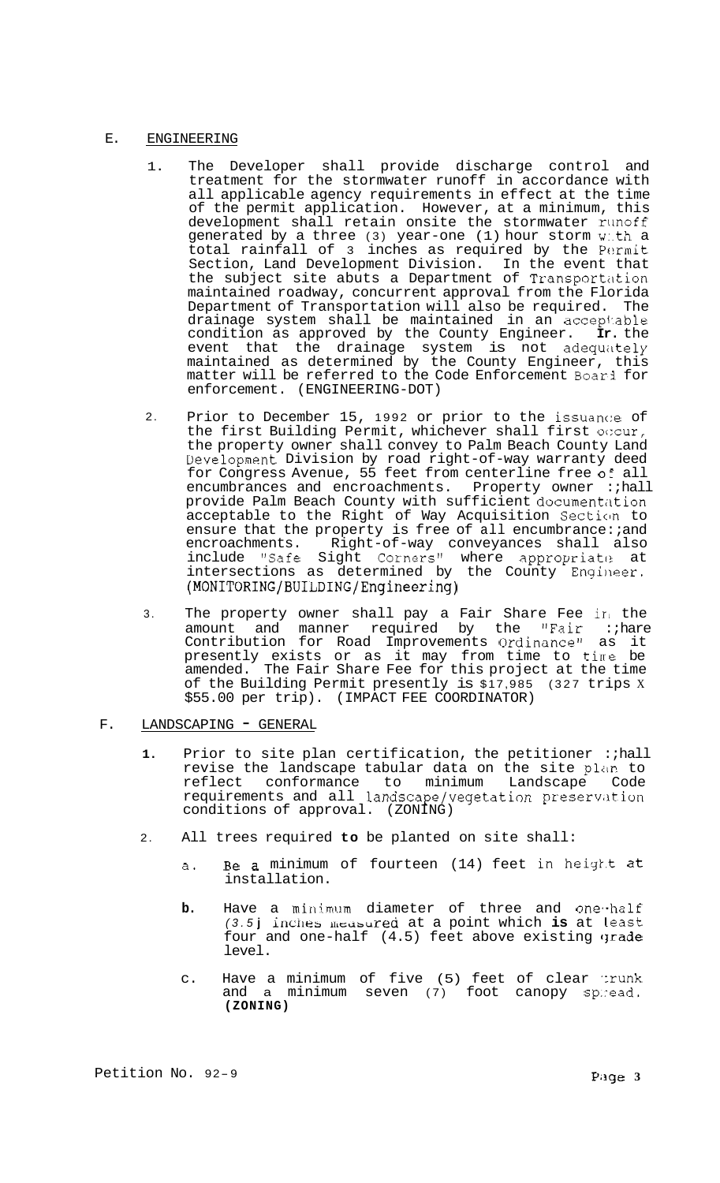# E. ENGINEERING

- 1. The Developer shall provide discharge control and treatment for the stormwater runoff in accordance with all applicable agency requirements in effect at the time of the permit application. However, at a minimum, this development shall retain onsite the stormwater runoff generated by a three (3) year-one (1) hour storm w:.th a total rainfall of 3 inches as required by the Permit Section, Land Development Division. In the event that the subject site abuts a Department of Transportation maintained roadway, concurrent approval from the Florida Department of Transportation will also be required. drainage system shall be maintained in an acceptable condition as approved by the County Engineer. **Ir.** the event that the drainage system is not adequately maintained as determined by the County Engineer, this matter will be referred to the Code Enforcement Boarl for enforcement. (ENGINEERING-DOT)
- 2. Prior to December 15, 1992 or prior to the issuance of the first Building Permit, whichever shall first occur, the property owner shall convey to Palm Beach County Land Eevelopment Division by road right-of-way warranty deed for Congress Avenue, 55 feet from centerline free OF all encumbrances and encroachments. Property owner : hall provide Palm Beach County with sufficient documentation acceptable to the Right of Way Acquisition Section to ensure that the property is free of all encumbrance: and encroachments. Right-of-way conveyances shall also include "Safe Sight Corners" where appropriate at intersections as determined by the County Engineer. **(MONITORING/BUILDING/Engineering)**
- 3. The property owner shall pay a Fair Share Fee in the amount and manner required by the "Fair :;hare Contribution for Road Improvements Ordinance" as it presently exists or as it may from time to tine be amended. The Fair Share Fee for this project at the time of the Building Permit presently is \$17,985 (327 trips <sup>X</sup> \$55.00 per trip). (IMPACT FEE COORDINATOR)
- F. LANDSCAPING GENERAL
	- **1.** Prior to site plan certification, the petitioner :;hall revise the landscape tabular data on the site plan to reflect conformance to minimum Landscape Code requirements and all landscape/vegetation preservation conditions of approval. (ZONING)
	- 2. All trees required **to** be planted on site shall:
		- a. Be a minimum of fourteen (14) feet in height at installation.
		- b. Have a minimum diameter of three and one-half *(3.5)* inches measured at a point which is at least four and one-half (4.5) feet above existing grade level.
		- c. Have a minimum of five (5) feet of clear :runk and a minimum seven (7) foot canopy sp:read. **(ZONING)**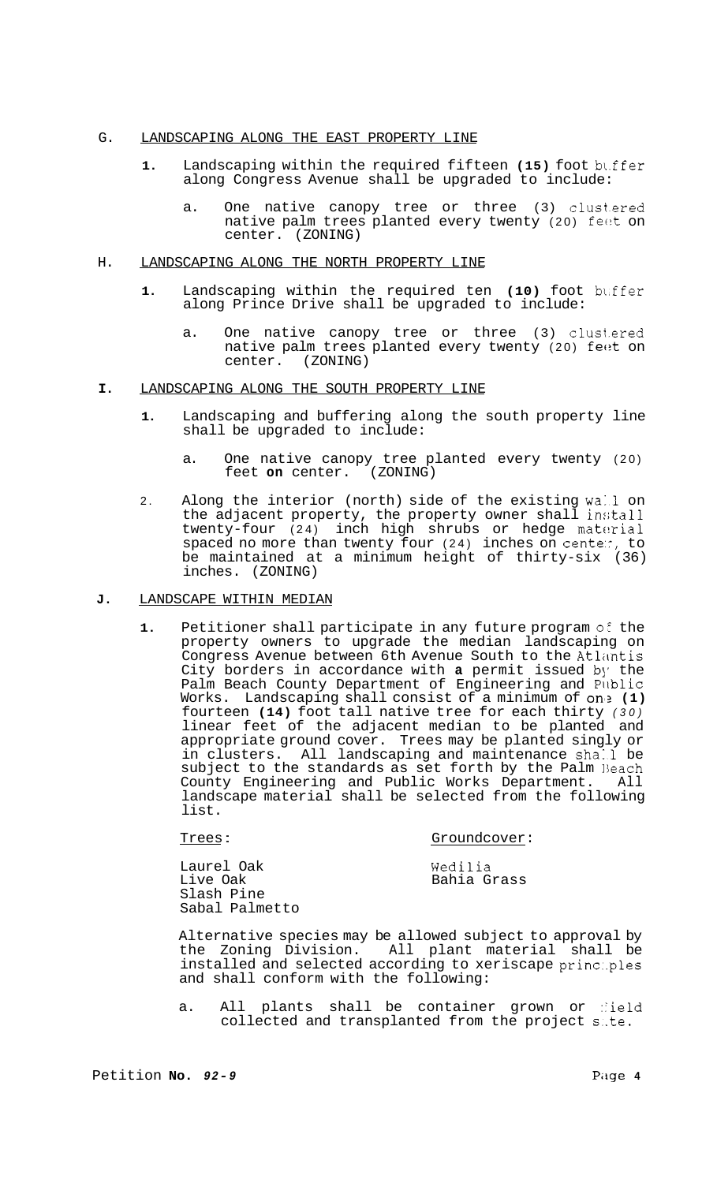# G. LANDSCAPING ALONG THE EAST PROPERTY LINE

- **1.** Landscaping within the required fifteen **(15)** foot bl.ffer along Congress Avenue shall be upgraded to include:
	- a. One native canopy tree or three (3) clust.ered native palm trees planted every twenty (20) feet on center. (ZONING)

#### H. LANDSCAPING ALONG THE NORTH PROPERTY LINE

- **1.** Landscaping within the required ten (10) foot buffer along Prince Drive shall be upgraded to include:
	- a. One native canopy tree or three (3) clust.ered native palm trees planted every twenty (20) fe $e$ t on center. (ZONING)
- **I.** LANDSCAPING ALONG THE SOUTH PROPERTY LINE
	- **1.** Landscaping and buffering along the south property line shall be upgraded to include:
		- a. One native canopy tree planted every twenty (20) feet **on** center. (ZONING)
	- 2. Along the interior (north) side of the existing wall on the adjacent property, the property owner shall install twenty-four (24) inch high shrubs or hedge material spaced no more than twenty four (24) inches on cente:, to be maintained at a minimum height of thirty-six (36) inches. (ZONING)
- **J.** LANDSCAPE WITHIN MEDIAN

Laurel Oak Live Oak Slash Pine

1. Petitioner shall participate in any future program of the property owners to upgrade the median landscaping on Congress Avenue between 6th Avenue South to the Atlantis City borders in accordance with **a** permit issued by the Palm Beach County Department of Engineering and Pllblic Works. Landscaping shall consist of a minimum of on'? **(1)**  fourteen **(14)** foot tall native tree for each thirty *(30)*  linear feet of the adjacent median to be planted and appropriate ground cover. Trees may be planted singly or in clusters. All landscaping and maintenance shall be subject to the standards as set forth by the Palm Beach<br>County Engineering and Public Works Department 411 County Engineering and Public Works Department. landscape material shall be selected from the following list.

Trees : Groundcover: Sabal Palmetto Wedilia Bahia Grass

Alternative species may be allowed subject to approval by the Zoning Division. All plant material shall be installed and selected according to xeriscape princ:.ples and shall conform with the following:

a. All plants shall be container grown or field collected and transplanted from the project s..te.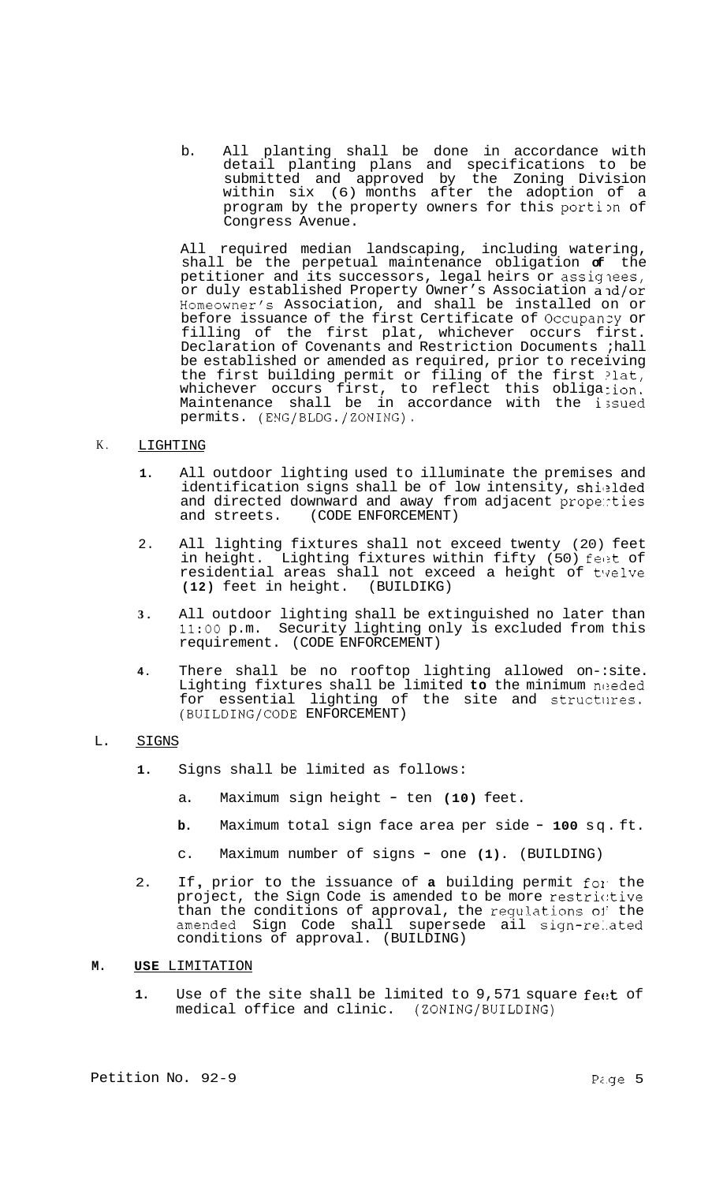b. All planting shall be done in accordance with detail planting plans and specifications to be submitted and approved by the Zoning Division within six (6) months after the adoption of a program by the property owners for this portion of Congress Avenue.

All required median landscaping, including watering, shall be the perpetual maintenance obligation **of** the petitioner and its successors, legal heirs or assiglees, or duly established Property Owner's Association and/or Homeowner's Association, and shall be installed on or before issuance of the first Certificate of Occupanzy or filling of the first plat, whichever occurs first. Declaration of Covenants and Restriction Documents ;hall be established or amended as required, prior to receiving the first building permit or filing of the first ?lat, whichever occurs first, to reflect this obligation. Maintenance shall be in accordance with the issued permits. (ENG/BLDG./ZONING).

#### K. LIGHTING

- **1.** All outdoor lighting used to illuminate the premises and identification signs shall be of low intensity, shielded and directed downward and away from adjacent propenties and streets. (CODE ENFORCEMENT) (CODE ENFORCEMENT)
- 2. All lighting fixtures shall not exceed twenty (20) feet in height. Lighting fixtures within fifty (50) feet of residential areas shall not exceed a height of t'qelve **(12)** feet in height. (BUILDIKG)
- **3.** All outdoor lighting shall be extinguished no later than **11:OO** p.m. Security lighting only is excluded from this requirement. (CODE ENFORCEMENT)
- **4.** There shall be no rooftop lighting allowed on-:site. Lighting fixtures shall be limited to the minimum needed for essential lighting of the site and structures. (BUILDING/CODE ENFORCEMENT)

## L. SIGNS

- **1.** Signs shall be limited as follows:
	- a. Maximum sign height ten **(10)** feet.
	- **b.** Maximum total sign face area per side **100** sq. ft.
	- c. Maximum number of signs one **(1).** (BUILDING)
- 2. If , prior to the issuance of **a** building permit fol. the project, the Sign Code is amended to be more restric:tive than the conditions of approval, the regulations **01'** the amended Sign Code shall supersede ail sign-re:.ated conditions of approval. (BUILDING)

#### **M. USE** LIMITATION

1. Use of the site shall be limited to 9,571 square feet of medical office and clinic. (ZONING/BUILDING)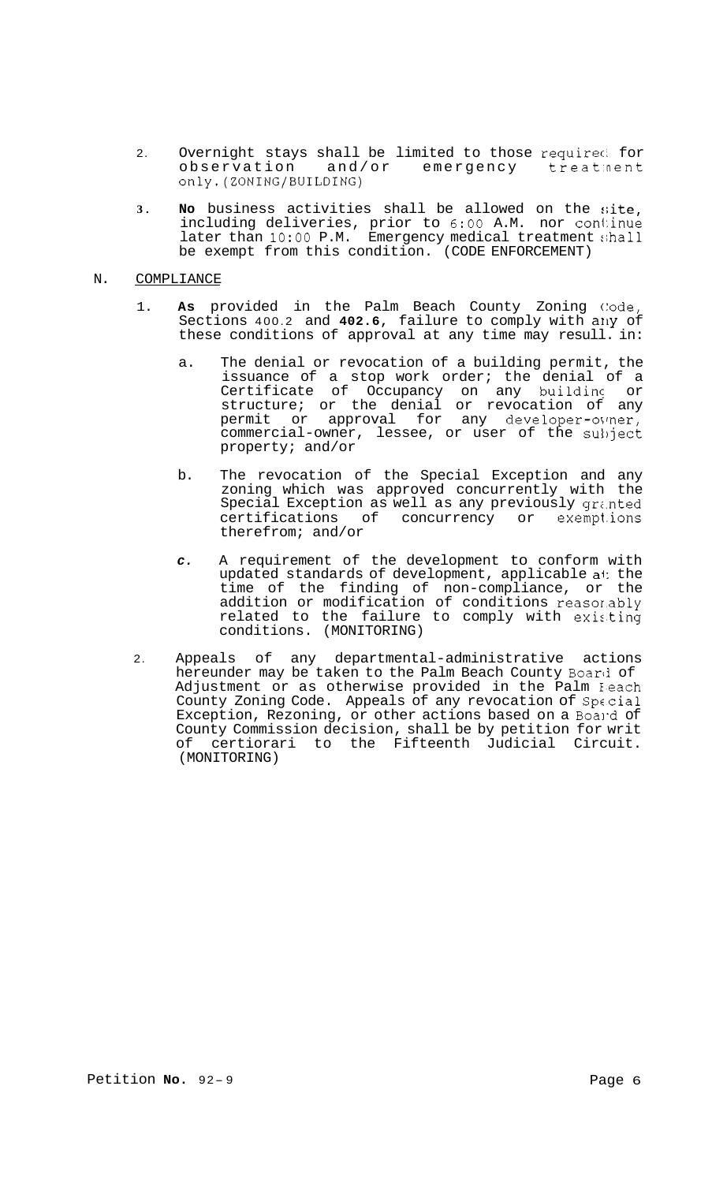- 2. Overnight stays shall be limited to those requireci for observation and/or emergency treat:nent only.(ZONING/BUILDING)
- 3. **No** business activities shall be allowed on the site, including deliveries, prior to 6:00 A.M. nor continue later than 10:00 P.M. Emergency medical treatment shall be exempt from this condition. (CODE ENFORCEMENT)

# N. COMPLIANCE

- 1. As provided in the Palm Beach County Zoning Code, Sections 400.2 and 402.6, failure to comply with any of these conditions of approval at any time may resull. in:
	- a. The denial or revocation of a building permit, the issuance of a stop work order; the denial of a Certificate of Occupancy on any buildin? or structure; or the denial or revocation of any permit or approval for any developer-oimer, commercial-owner, lessee, or user of the subject property; and/or
	- b. The revocation of the Special Exception and any zoning which was approved concurrently with the Special Exception as well as any previously gr;.nted certifications of concurrency or exempt.ions therefrom; and/or
	- *c.* A requirement of the development to conform with updated standards of development, applicable ai: the time of the finding of non-compliance, or the addition or modification of conditions reasor.ably related to the failure to comply with existing conditions. (MONITORING)
- 2. Appeals of any departmental-administrative actions hereunder may be taken to the Palm Beach County Board of Adjustment or as otherwise provided in the Palm Heach County Zoning Code. Appeals of any revocation of Spccial Exception, Rezoning, or other actions based on a Board of County Commission decision, shall be by petition for writ of certiorari to the Fifteenth Judicial Circuit. (MONITORING)